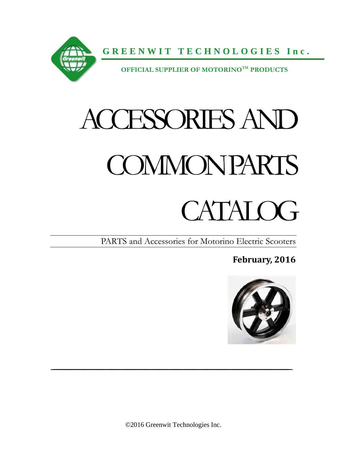

# ACCESSORIES AND **COMMON PARTS**

# CATAL OG

PARTS and Accessories for Motorino Electric Scooters

**February, 2016**



 $\mathcal{L}_\text{max}$  and  $\mathcal{L}_\text{max}$  and  $\mathcal{L}_\text{max}$  and  $\mathcal{L}_\text{max}$  and  $\mathcal{L}_\text{max}$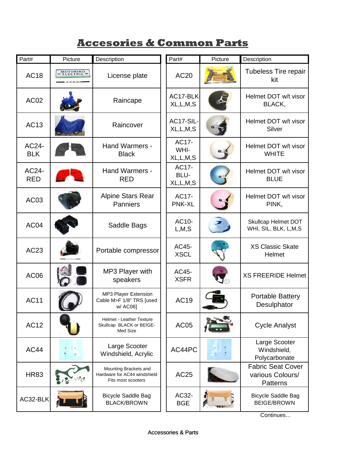# **Accesories & Common Parts**

| Part#               | Picture  | Description                                                                 | Part#                        | Picture | Description                                                     |
|---------------------|----------|-----------------------------------------------------------------------------|------------------------------|---------|-----------------------------------------------------------------|
| <b>AC18</b>         | MOTORINO | License plate                                                               | <b>AC20</b>                  |         | <b>Tubeless Tire repair</b><br>kit                              |
| AC <sub>02</sub>    |          | Raincape                                                                    | AC17-BLK<br>XL, L, M, S      |         | Helmet DOT w/t visor<br>BLACK,                                  |
| <b>AC13</b>         |          | Raincover                                                                   | AC17-SIL-<br>XL, L, M, S     |         | Helmet DOT w/t visor<br>Silver                                  |
| AC24-<br><b>BLK</b> |          | Hand Warmers -<br><b>Black</b>                                              | AC17-<br>WHI-<br>XL,L,M,S    |         | Helmet DOT w/t visor<br><b>WHITE</b>                            |
| AC24-<br><b>RED</b> |          | Hand Warmers -<br><b>RED</b>                                                | AC17-<br>BLU-<br>XL, L, M, S |         | Helmet DOT w/t visor<br><b>BLUE</b>                             |
| AC03                |          | <b>Alpine Stars Rear</b><br><b>Panniers</b>                                 | AC17-<br><b>PNK-XL</b>       |         | Helmet DOT w/t visor<br>PINK,                                   |
| AC04                |          | Saddle Bags                                                                 | AC10-<br>L, M, S             |         | Skullcap Helmet DOT<br>WHI, SIL, BLK, L,M,S                     |
| AC23                |          | Portable compressor                                                         | AC45-<br><b>XSCL</b>         |         | <b>XS Classic Skate</b><br>Helmet                               |
| AC06                |          | MP3 Player with<br>speakers                                                 | AC45-<br><b>XSFR</b>         |         | <b>XS FREERIDE Helmet</b>                                       |
| <b>AC11</b>         |          | MP3 Player Extension<br>Cable M>F 1/8" TRS [used<br>w/ AC06]                | <b>AC19</b>                  |         | <b>Portable Battery</b><br>Desulphator                          |
| <b>AC12</b>         |          | <b>Helmet - Leather Texture</b><br>Skullcap BLACK or BEIGE-<br>Med Size     | <b>AC05</b>                  |         | <b>Cycle Analyst</b>                                            |
| <b>AC44</b>         |          | Large Scooter<br>Windshield, Acrylic                                        | AC44PC                       |         | Large Scooter<br>Windshield,<br>Polycarbonate                   |
| <b>HR83</b>         |          | Mounting Brackets and<br>Hardware for AC44 windshield<br>Fits most scooters | AC25                         |         | <b>Fabric Seat Cover</b><br>various Colours/<br><b>Patterns</b> |
| AC32-BLK            |          | <b>Bicycle Saddle Bag</b><br><b>BLACK/BROWN</b>                             | AC32-<br><b>BGE</b>          |         | <b>Bicycle Saddle Bag</b><br><b>BEIGE/BROWN</b>                 |

Continues...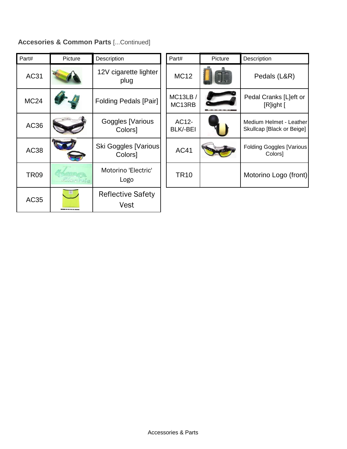#### **Accesories & Common Parts** [...Continued]

| Part#       | Picture  | Description                             | Part#                                | Picture | Description                                          |
|-------------|----------|-----------------------------------------|--------------------------------------|---------|------------------------------------------------------|
| AC31        |          | 12V cigarette lighter<br>plug           | <b>MC12</b>                          |         | Pedals (L&R)                                         |
| <b>MC24</b> |          | <b>Folding Pedals [Pair]</b>            | <b>MC13LB/</b><br>MC <sub>13RB</sub> |         | Pedal Cranks [L]eft or<br>[R]ight [                  |
| AC36        |          | Goggles [Various<br>Colors]             | AC12-<br>BLK/-BEI                    |         | Medium Helmet - Leather<br>Skullcap [Black or Beige] |
| <b>AC38</b> |          | Ski Goggles [Various]<br>Colors]        | <b>AC41</b>                          |         | <b>Folding Goggles [Various</b><br>Colors]           |
| <b>TR09</b> | Electric | Motorino 'Electric'<br>Logo             | <b>TR10</b>                          |         | Motorino Logo (front)                                |
| AC35        |          | <b>Reflective Safety</b><br><b>Vest</b> |                                      |         |                                                      |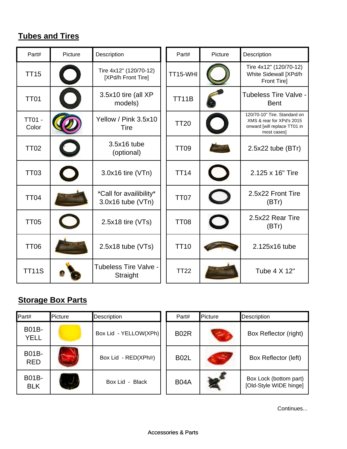# **Tubes and Tires**

| Part#                  | Picture | Description                                  | Part#       | Picture                  | Description                                                                                              |
|------------------------|---------|----------------------------------------------|-------------|--------------------------|----------------------------------------------------------------------------------------------------------|
| <b>TT15</b>            |         | Tire 4x12" (120/70-12)<br>[XPd/h Front Tire] | TT15-WHI    |                          | Tire 4x12" (120/70-12)<br>White Sidewall [XPd/h<br>Front Tire]                                           |
| <b>TT01</b>            |         | 3.5x10 tire (all XP<br>models)               | TT11B       |                          | <b>Tubeless Tire Valve -</b><br><b>Bent</b>                                                              |
| <b>TT01 -</b><br>Color |         | Yellow / Pink 3.5x10<br><b>Tire</b>          | <b>TT20</b> |                          | 120/70-10" Tire. Standard on<br>XMS & rear for XPd's 2015<br>onward [will replace TT01 in<br>most cases] |
| <b>TT02</b>            |         | 3.5x16 tube<br>(optional)                    | <b>TT09</b> |                          | $2.5x22$ tube (BTr)                                                                                      |
| <b>TT03</b>            |         | 3.0x16 tire (VTn)                            | <b>TT14</b> |                          | 2.125 x 16" Tire                                                                                         |
| <b>TT04</b>            |         | *Call for availibility*<br>3.0x16 tube (VTn) | <b>TT07</b> |                          | 2.5x22 Front Tire<br>(BTr)                                                                               |
| <b>TT05</b>            |         | $2.5x18$ tire (VTs)                          | <b>TT08</b> | $\overline{\phantom{a}}$ | 2.5x22 Rear Tire<br>(BTr)                                                                                |
| <b>TT06</b>            |         | $2.5x18$ tube (VTs)                          | <b>TT10</b> |                          | 2.125x16 tube                                                                                            |
| <b>TT11S</b>           |         | Tubeless Tire Valve -<br>Straight            | <b>TT22</b> |                          | Tube 4 X 12"                                                                                             |

# **Storage Box Parts**

| Part#                | Picture       | <b>Description</b>    | Part#       | Picture           | Description                                      |
|----------------------|---------------|-----------------------|-------------|-------------------|--------------------------------------------------|
| B01B-<br><b>YELL</b> |               | Box Lid - YELLOW(XPh) | <b>B02R</b> | مت                | Box Reflector (right)                            |
| B01B-<br><b>RED</b>  |               | Box Lid - RED(XPh/r)  | <b>B02L</b> | <b>CONTRACTOR</b> | Box Reflector (left)                             |
| B01B-<br><b>BLK</b>  | $\frac{1}{2}$ | Box Lid - Black       | <b>B04A</b> |                   | Box Lock (bottom part)<br>[Old-Style WIDE hinge] |

Continues...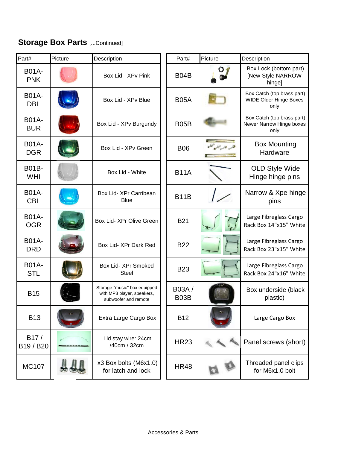# **Storage Box Parts [...Continued]**

| Part#                      | Picture | Description                                                                        | Part#         | Picture | Description                                                    |
|----------------------------|---------|------------------------------------------------------------------------------------|---------------|---------|----------------------------------------------------------------|
| <b>B01A-</b><br><b>PNK</b> |         | Box Lid - XPv Pink                                                                 | <b>B04B</b>   |         | Box Lock (bottom part)<br>[New-Style NARROW<br>hinge]          |
| <b>B01A-</b><br><b>DBL</b> |         | Box Lid - XPv Blue                                                                 | <b>B05A</b>   |         | Box Catch (top brass part)<br>WIDE Older Hinge Boxes<br>only   |
| <b>B01A-</b><br><b>BUR</b> |         | Box Lid - XPv Burgundy                                                             | <b>B05B</b>   |         | Box Catch (top brass part)<br>Newer Narrow Hinge boxes<br>only |
| <b>B01A-</b><br><b>DGR</b> |         | Box Lid - XPv Green                                                                | <b>B06</b>    |         | <b>Box Mounting</b><br>Hardware                                |
| <b>B01B-</b><br>WHI        |         | Box Lid - White                                                                    | <b>B11A</b>   |         | <b>OLD Style Wide</b><br>Hinge hinge pins                      |
| <b>B01A-</b><br><b>CBL</b> |         | Box Lid- XPr Carribean<br><b>Blue</b>                                              | <b>B11B</b>   |         | Narrow & Xpe hinge<br>pins                                     |
| <b>B01A-</b><br><b>OGR</b> |         | Box Lid- XPr Olive Green                                                           | <b>B21</b>    |         | Large Fibreglass Cargo<br>Rack Box 14"x15" White               |
| <b>B01A-</b><br><b>DRD</b> |         | Box Lid- XPr Dark Red                                                              | <b>B22</b>    |         | Large Fibreglass Cargo<br>Rack Box 23"x15" White               |
| <b>B01A-</b><br><b>STL</b> |         | Box Lid- XPr Smoked<br><b>Steel</b>                                                | <b>B23</b>    |         | Large Fibreglass Cargo<br>Rack Box 24"x16" White               |
| <b>B15</b>                 |         | Storage "music" box equipped<br>with MP3 player, speakers,<br>subwoofer and remote | B03A/<br>B03B |         | Box underside (black<br>plastic)                               |
| <b>B13</b>                 |         | Extra Large Cargo Box                                                              | <b>B12</b>    |         | Large Cargo Box                                                |
| B17/<br>B19 / B20          |         | Lid stay wire: 24cm<br>/40cm / 32cm                                                | <b>HR23</b>   |         | Panel screws (short)                                           |
| <b>MC107</b>               |         | x3 Box bolts (M6x1.0)<br>for latch and lock                                        | <b>HR48</b>   |         | Threaded panel clips<br>for M6x1.0 bolt                        |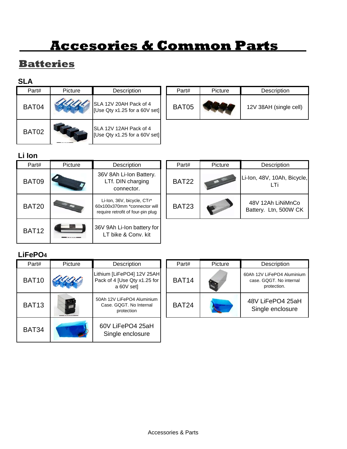# **Accesories & Common Parts**

# **Batteries**

#### **SLA**

| Part# | <b>Picture</b> | Description                                             | Part#        | Picture | Description            |
|-------|----------------|---------------------------------------------------------|--------------|---------|------------------------|
| BAT04 |                | SLA 12V 20AH Pack of 4<br>[Use Qty x1.25 for a 60V set] | <b>BAT05</b> |         | 12V 38AH (single cell) |
| BAT02 |                | SLA 12V 12AH Pack of 4<br>[Use Qty x1.25 for a 60V set] |              |         |                        |

#### **Li Ion**

| Part#        | Picture | Description                                                                                     | Part#        | Picture | Description                                |
|--------------|---------|-------------------------------------------------------------------------------------------------|--------------|---------|--------------------------------------------|
| BAT09        |         | 36V 8Ah Li-Ion Battery.<br>LTf. DIN charging<br>connector.                                      | <b>BAT22</b> |         | Li-Ion, 48V, 10Ah, Bicycle,<br>LTi         |
| <b>BAT20</b> |         | Li-Ion, 36V, bicycle, CTr*<br>60x100x370mm *connector will<br>require retrofit of four-pin plug | <b>BAT23</b> |         | 48V 12Ah LiNiMnCo<br>Battery. Ltn, 500W CK |
| <b>BAT12</b> |         | 36V 9Ah Li-Ion battery for<br>LT bike & Conv. kit                                               |              |         |                                            |

#### **LiFePO4**

| Part#        | <b>Picture</b> | Description                                                              | Part#        | Picture | Description                                                          |
|--------------|----------------|--------------------------------------------------------------------------|--------------|---------|----------------------------------------------------------------------|
| <b>BAT10</b> |                | Lithium [LiFePO4] 12V 25AH<br>Pack of 4 [Use Qty x1.25 for<br>a 60V set] | <b>BAT14</b> |         | 60Ah 12V LiFePO4 Aluminium<br>case, GQGT. No internal<br>protection. |
| <b>BAT13</b> | rs"<br>E       | 50Ah 12V LiFePO4 Aluminium<br>Case, GQGT, No Internal<br>protection      | <b>BAT24</b> |         | 48V LiFePO4 25aH<br>Single enclosure                                 |
| <b>BAT34</b> |                | 60V LiFePO4 25aH<br>Single enclosure                                     |              |         |                                                                      |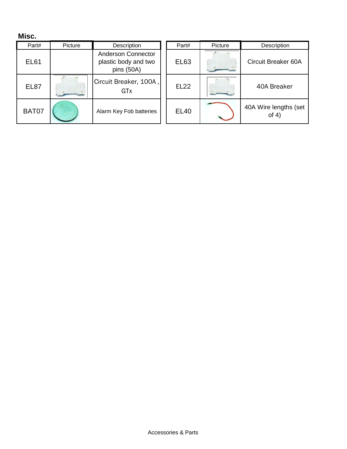#### **Misc.**

| Part#       | Picture | Description                                                     | Part#       | Picture | Description                      |
|-------------|---------|-----------------------------------------------------------------|-------------|---------|----------------------------------|
| <b>EL61</b> |         | <b>Anderson Connector</b><br>plastic body and two<br>pins (50A) | <b>EL63</b> |         | Circuit Breaker 60A              |
| <b>EL87</b> |         | Circuit Breaker, 100A,<br>GTx                                   | <b>EL22</b> |         | 40A Breaker                      |
| BAT07       |         | Alarm Key Fob batteries                                         | <b>EL40</b> |         | 40A Wire lengths (set<br>of $4)$ |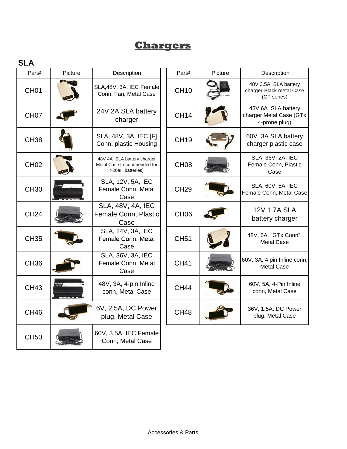# **Chargers**

#### **SLA**

| Part#            | Picture | Description                                                                   | Part#            | Picture | Description                                                     |
|------------------|---------|-------------------------------------------------------------------------------|------------------|---------|-----------------------------------------------------------------|
| CH <sub>01</sub> |         | SLA, 48V, 3A, IEC Female<br>Conn, Fan, Metal Case                             | <b>CH10</b>      |         | 48V 3.5A SLA battery<br>charger-Black metal Case<br>(GT series) |
| CH <sub>07</sub> |         | 24V 2A SLA battery<br>charger                                                 | <b>CH14</b>      |         | 48V 6A SLA battery<br>charger Metal Case (GTx<br>4-prone plug)  |
| <b>CH38</b>      |         | SLA, 48V, 3A, IEC [F]<br>Conn, plastic Housing                                | <b>CH19</b>      |         | 60V 3A SLA battery<br>charger plastic case                      |
| <b>CH02</b>      |         | 48V 4A SLA battery charger<br>Metal Case [recommended for<br>>20aH batteries] | CH <sub>08</sub> |         | SLA, 36V, 2A, IEC<br>Female Conn, Plastic<br>Case               |
| <b>CH30</b>      |         | SLA, 12V, 5A, IEC<br>Female Conn, Metal<br>Case                               | <b>CH29</b>      |         | SLA, 60V, 5A, IEC<br>Female Conn, Metal Case                    |
| <b>CH24</b>      |         | <b>SLA, 48V, 4A, IEC</b><br>Female Conn, Plastic<br>Case                      | CH <sub>06</sub> |         | <b>12V 1.7A SLA</b><br>battery charger                          |
| <b>CH35</b>      |         | SLA, 24V, 3A, IEC<br>Female Conn, Metal<br>Case                               | <b>CH51</b>      |         | 48V, 6A, "GTx Conn",<br><b>Metal Case</b>                       |
| <b>CH36</b>      |         | SLA, 36V, 3A, IEC<br>Female Conn, Metal<br>Case                               | <b>CH41</b>      |         | 60V, 3A, 4 pin Inline conn,<br><b>Metal Case</b>                |
| <b>CH43</b>      |         | 48V, 3A, 4-pin Inline<br>conn, Metal Case                                     | <b>CH44</b>      |         | 60V, 5A, 4-Pin Inline<br>conn, Metal Case                       |
| <b>CH46</b>      |         | 6V, 2.5A, DC Power<br>plug, Metal Case                                        | <b>CH48</b>      |         | 36V, 1.5A, DC Power<br>plug, Metal Case                         |
| <b>CH50</b>      |         | 60V, 3.5A, IEC Female<br>Conn, Metal Case                                     |                  |         |                                                                 |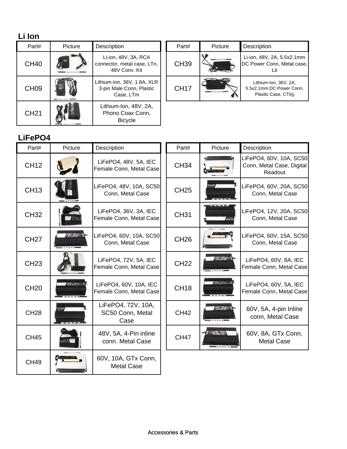# **Li Ion**

| Part#            | <b>Picture</b> | Description                                                          | Part#       | Picture | Description                            |
|------------------|----------------|----------------------------------------------------------------------|-------------|---------|----------------------------------------|
| <b>CH40</b>      |                | Li-ion, 48V, 3A, RCA<br>connector, metal case, LTn,<br>48V Conv. Kit | <b>CH39</b> |         | Li-ion, 48V, 2<br>DC Power Co          |
| CH <sub>09</sub> |                | Lithium-Ion, 36V, 1.8A, XLR<br>3-pin Male Conn, Plastic<br>Case, LTm | <b>CH17</b> |         | Lithium-Io<br>5.5x2.1mm D<br>Plastic C |
| <b>CH21</b>      |                | Lithium-Ion, 48V, 2A,<br>Phono Coax Conn,<br><b>Bicycle</b>          |             |         |                                        |

| Part#       | Picture | Description                                                              |
|-------------|---------|--------------------------------------------------------------------------|
| CH39        |         | Li-ion, 48V, 2A, 5.5x2.1mm<br>DC Power Conn, Metal case,                 |
| <b>CH17</b> |         | Lithium-Ion, 36V, 2A,<br>5.5x2.1mm DC Power Conn.<br>Plastic Case, CTI/g |

#### **LiFePO4**

| Part#       | Picture         | Description                                       | Part#       | Picture                          | Description                                                     |
|-------------|-----------------|---------------------------------------------------|-------------|----------------------------------|-----------------------------------------------------------------|
| <b>CH12</b> |                 | LiFePO4, 48V, 5A, IEC<br>Female Conn, Metal Case  | <b>CH34</b> |                                  | LiFePO4, 60V, 10A, SC50<br>Conn, Metal Case, Digital<br>Readout |
| <b>CH13</b> |                 | LiFePO4, 48V, 10A, SC50<br>Conn, Metal Case       | <b>CH25</b> | $\overline{\phantom{a}}$         | LiFePO4, 60V, 20A, SC50<br>Conn, Metal Case                     |
| <b>CH32</b> |                 | LiFePO4, 36V, 3A, IEC<br>Female Conn, Metal Case  | <b>CH31</b> |                                  | LiFePO4, 12V, 20A, SC50<br>Conn, Metal Case                     |
| <b>CH27</b> | <b>STRIP OF</b> | LiFePO4, 60V, 10A, SC50<br>Conn, Metal Case       | <b>CH26</b> |                                  | LiFePO4, 60V, 15A, SC50<br>Conn, Metal Case                     |
| <b>CH23</b> |                 | LiFePO4, 72V, 5A, IEC<br>Female Conn, Metal Case  | <b>CH22</b> | <b>All Service</b>               | LiFePO4, 60V, 8A, IEC<br>Female Conn, Metal Case                |
| <b>CH20</b> | <b>The Book</b> | LiFePO4, 60V, 10A, IEC<br>Female Conn, Metal Case | <b>CH18</b> | <b>The County</b>                | LiFePO4, 60V, 5A, IEC<br>Female Conn, Metal Case                |
| <b>CH28</b> |                 | LiFePO4, 72V, 10A,<br>SC50 Conn, Metal<br>Case    | <b>CH42</b> | <b>Alliance</b>                  | 60V, 5A, 4-pin Inline<br>conn, Metal Case                       |
| <b>CH45</b> |                 | 48V, 5A, 4-Pin inline<br>conn. Metal Case         | <b>CH47</b> | $\mathcal{L} = 2.21 \times 10^3$ | 60V, 8A, GTx Conn,<br><b>Metal Case</b>                         |
| <b>CH49</b> |                 | 60V, 10A, GTx Conn,<br><b>Metal Case</b>          |             |                                  |                                                                 |